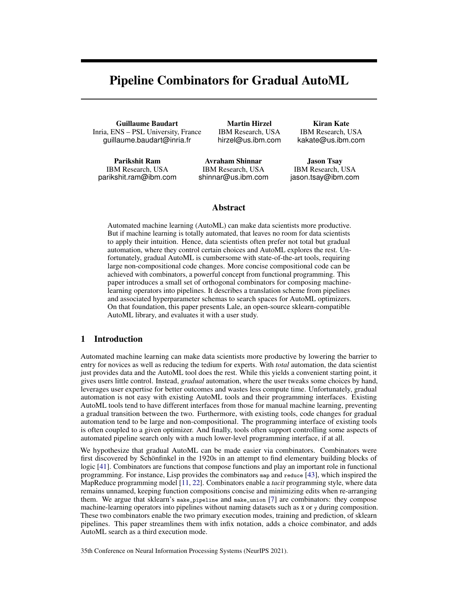# Pipeline Combinators for Gradual AutoML

Guillaume Baudart Inria, ENS – PSL University, France guillaume.baudart@inria.fr

Parikshit Ram IBM Research, USA parikshit.ram@ibm.com

Martin Hirzel IBM Research, USA hirzel@us.ibm.com

Avraham Shinnar IBM Research, USA shinnar@us.ibm.com

Kiran Kate IBM Research, USA kakate@us.ibm.com

Jason Tsay IBM Research, USA jason.tsay@ibm.com

## Abstract

Automated machine learning (AutoML) can make data scientists more productive. But if machine learning is totally automated, that leaves no room for data scientists to apply their intuition. Hence, data scientists often prefer not total but gradual automation, where they control certain choices and AutoML explores the rest. Unfortunately, gradual AutoML is cumbersome with state-of-the-art tools, requiring large non-compositional code changes. More concise compositional code can be achieved with combinators, a powerful concept from functional programming. This paper introduces a small set of orthogonal combinators for composing machinelearning operators into pipelines. It describes a translation scheme from pipelines and associated hyperparameter schemas to search spaces for AutoML optimizers. On that foundation, this paper presents Lale, an open-source sklearn-compatible AutoML library, and evaluates it with a user study.

## 1 Introduction

Automated machine learning can make data scientists more productive by lowering the barrier to entry for novices as well as reducing the tedium for experts. With *total* automation, the data scientist just provides data and the AutoML tool does the rest. While this yields a convenient starting point, it gives users little control. Instead, *gradual* automation, where the user tweaks some choices by hand, leverages user expertise for better outcomes and wastes less compute time. Unfortunately, gradual automation is not easy with existing AutoML tools and their programming interfaces. Existing AutoML tools tend to have different interfaces from those for manual machine learning, preventing a gradual transition between the two. Furthermore, with existing tools, code changes for gradual automation tend to be large and non-compositional. The programming interface of existing tools is often coupled to a given optimizer. And finally, tools often support controlling some aspects of automated pipeline search only with a much lower-level programming interface, if at all.

We hypothesize that gradual AutoML can be made easier via combinators. Combinators were first discovered by Schönfinkel in the 1920s in an attempt to find elementary building blocks of logic [\[41\]](#page-12-0). Combinators are functions that compose functions and play an important role in functional programming. For instance, Lisp provides the combinators map and reduce [\[43\]](#page-12-1), which inspired the MapReduce programming model [\[11,](#page-10-0) [22\]](#page-11-0). Combinators enable a *tacit* programming style, where data remains unnamed, keeping function compositions concise and minimizing edits when re-arranging them. We argue that sklearn's make\_pipeline and make\_union [\[7\]](#page-10-1) are combinators: they compose machine-learning operators into pipelines without naming datasets such as x or y during composition. These two combinators enable the two primary execution modes, training and prediction, of sklearn pipelines. This paper streamlines them with infix notation, adds a choice combinator, and adds AutoML search as a third execution mode.

35th Conference on Neural Information Processing Systems (NeurIPS 2021).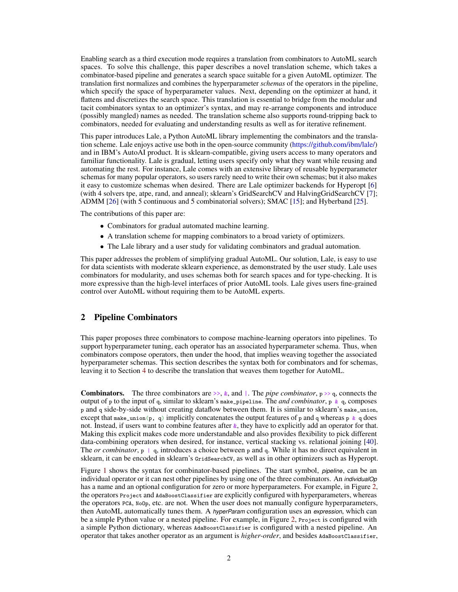Enabling search as a third execution mode requires a translation from combinators to AutoML search spaces. To solve this challenge, this paper describes a novel translation scheme, which takes a combinator-based pipeline and generates a search space suitable for a given AutoML optimizer. The translation first normalizes and combines the hyperparameter *schemas* of the operators in the pipeline, which specify the space of hyperparameter values. Next, depending on the optimizer at hand, it flattens and discretizes the search space. This translation is essential to bridge from the modular and tacit combinators syntax to an optimizer's syntax, and may re-arrange components and introduce (possibly mangled) names as needed. The translation scheme also supports round-tripping back to combinators, needed for evaluating and understanding results as well as for iterative refinement.

This paper introduces Lale, a Python AutoML library implementing the combinators and the translation scheme. Lale enjoys active use both in the open-source community [\(https://github.com/ibm/lale/\)](https://github.com/ibm/lale/) and in IBM's AutoAI product. It is sklearn-compatible, giving users access to many operators and familiar functionality. Lale is gradual, letting users specify only what they want while reusing and automating the rest. For instance, Lale comes with an extensive library of reusable hyperparameter schemas for many popular operators, so users rarely need to write their own schemas; but it also makes it easy to customize schemas when desired. There are Lale optimizer backends for Hyperopt [\[6\]](#page-10-2) (with 4 solvers tpe, atpe, rand, and anneal); sklearn's GridSearchCV and HalvingGridSearchCV [\[7\]](#page-10-1); ADMM [\[26\]](#page-11-1) (with 5 continuous and 5 combinatorial solvers); SMAC [\[15\]](#page-10-3); and Hyberband [\[25\]](#page-11-2).

The contributions of this paper are:

- Combinators for gradual automated machine learning.
- A translation scheme for mapping combinators to a broad variety of optimizers.
- The Lale library and a user study for validating combinators and gradual automation.

This paper addresses the problem of simplifying gradual AutoML. Our solution, Lale, is easy to use for data scientists with moderate sklearn experience, as demonstrated by the user study. Lale uses combinators for modularity, and uses schemas both for search spaces and for type-checking. It is more expressive than the high-level interfaces of prior AutoML tools. Lale gives users fine-grained control over AutoML without requiring them to be AutoML experts.

### <span id="page-1-0"></span>2 Pipeline Combinators

This paper proposes three combinators to compose machine-learning operators into pipelines. To support hyperparameter tuning, each operator has an associated hyperparameter schema. Thus, when combinators compose operators, then under the hood, that implies weaving together the associated hyperparameter schemas. This section describes the syntax both for combinators and for schemas, leaving it to Section [4](#page-4-0) to describe the translation that weaves them together for AutoML.

**Combinators.** The three combinators are  $\gg$ ,  $\&$ , and  $\parallel$ . The *pipe combinator*,  $p \gg q$ , connects the output of p to the input of q, similar to sklearn's make\_pipeline. The *and combinator*, p & q, composes p and q side-by-side without creating dataflow between them. It is similar to sklearn's make\_union, except that make\_union(p, q) implicitly concatenates the output features of p and q whereas p  $\&$  q does not. Instead, if users want to combine features after  $\&$ , they have to explicitly add an operator for that. Making this explicit makes code more understandable and also provides flexibility to pick different data-combining operators when desired, for instance, vertical stacking vs. relational joining [\[40\]](#page-12-2). The *or combinator*,  $p \mid q$ , introduces a choice between p and q. While it has no direct equivalent in sklearn, it can be encoded in sklearn's GridSearchCV, as well as in other optimizers such as Hyperopt.

Figure [1](#page-2-0) shows the syntax for combinator-based pipelines. The start symbol, *pipeline*, can be an individual operator or it can nest other pipelines by using one of the three combinators. An *individualOp* has a name and an optional configuration for zero or more hyperparameters. For example, in Figure [2,](#page-2-1) the operators Project and AdaBoostClassifier are explicitly configured with hyperparameters, whereas the operators PCA, NoOp, etc. are not. When the user does not manually configure hyperparameters, then AutoML automatically tunes them. A *hyperParam* configuration uses an *expression*, which can be a simple Python value or a nested pipeline. For example, in Figure [2,](#page-2-1) Project is configured with a simple Python dictionary, whereas AdaBoostClassifier is configured with a nested pipeline. An operator that takes another operator as an argument is *higher-order*, and besides AdaBoostClassifier,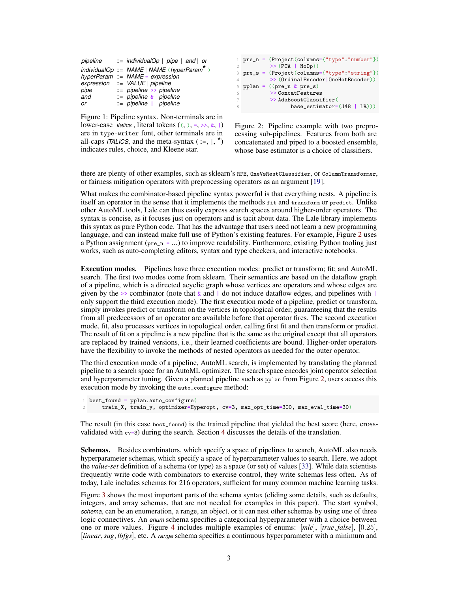|      | pipeline $\therefore$ individualOp   pipe   and   or |
|------|------------------------------------------------------|
|      | individualOp ::= $NAME   NAME (hyperParam)$          |
|      | hyperParam ::= NAME = expression                     |
|      | $expression$ ::= $VALUE$   pipeline                  |
| pipe | $ ::=$ pipeline >> pipeline                          |
| and  | $ ::=$ pipeline $\&$ pipeline                        |
| or   | $ ::=$ pipeline   pipeline                           |

<span id="page-2-0"></span>Figure 1: Pipeline syntax. Non-terminals are in lower-case *italics*, literal tokens  $((, ), =, \gg, \&, |)$ are in type-writer font, other terminals are in all-caps *ITALICS*, and the meta-syntax  $(::=, |, *)$ indicates rules, choice, and Kleene star.

```
pre_n = (Project(columns={"type": "number"})\gg (PCA | NoOp))
3 pre_s = (Project(columns={"type":"string"})
        >> (OrdinalEncoder | OneHotEncoder))
pplan = ((pre_n & pre_s)>> ConcatFeatures
         >> AdaBoostClassifier(
               base\_estimator=(J48 | LR))
```
<span id="page-2-1"></span>Figure 2: Pipeline example with two preprocessing sub-pipelines. Features from both are concatenated and piped to a boosted ensemble, whose base estimator is a choice of classifiers.

there are plenty of other examples, such as sklearn's RFE, OneVsRestClassifier, or ColumnTransformer, or fairness mitigation operators with preprocessing operators as an argument [\[19\]](#page-11-3).

What makes the combinator-based pipeline syntax powerful is that everything nests. A pipeline is itself an operator in the sense that it implements the methods fit and transform or predict. Unlike other AutoML tools, Lale can thus easily express search spaces around higher-order operators. The syntax is concise, as it focuses just on operators and is tacit about data. The Lale library implements this syntax as pure Python code. That has the advantage that users need not learn a new programming language, and can instead make full use of Python's existing features. For example, Figure [2](#page-2-1) uses a Python assignment ( $pre_n = ...$ ) to improve readability. Furthermore, existing Python tooling just works, such as auto-completing editors, syntax and type checkers, and interactive notebooks.

Execution modes. Pipelines have three execution modes: predict or transform; fit; and AutoML search. The first two modes come from sklearn. Their semantics are based on the dataflow graph of a pipeline, which is a directed acyclic graph whose vertices are operators and whose edges are given by the  $\gg$  combinator (note that  $\&$  and | do not induce dataflow edges, and pipelines with | only support the third execution mode). The first execution mode of a pipeline, predict or transform, simply invokes predict or transform on the vertices in topological order, guaranteeing that the results from all predecessors of an operator are available before that operator fires. The second execution mode, fit, also processes vertices in topological order, calling first fit and then transform or predict. The result of fit on a pipeline is a new pipeline that is the same as the original except that all operators are replaced by trained versions, i.e., their learned coefficients are bound. Higher-order operators have the flexibility to invoke the methods of nested operators as needed for the outer operator.

The third execution mode of a pipeline, AutoML search, is implemented by translating the planned pipeline to a search space for an AutoML optimizer. The search space encodes joint operator selection and hyperparameter tuning. Given a planned pipeline such as pplan from Figure [2,](#page-2-1) users access this execution mode by invoking the auto\_configure method:

```
1 best_found = pplan.auto_configure(
2 train_X, train_y, optimizer=Hyperopt, cv=3, max_opt_time=300, max_eval_time=30)
```
The result (in this case best\_found) is the trained pipeline that yielded the best score (here, cross-validated with cv=3) during the search. Section [4](#page-4-0) discusses the details of the translation.

Schemas. Besides combinators, which specify a space of pipelines to search, AutoML also needs hyperparameter schemas, which specify a space of hyperparameter values to search. Here, we adopt the *value-set* definition of a schema (or type) as a space (or set) of values [\[33\]](#page-12-3). While data scientists frequently write code with combinators to exercise control, they write schemas less often. As of today, Lale includes schemas for 216 operators, sufficient for many common machine learning tasks.

Figure [3](#page-3-0) shows the most important parts of the schema syntax (eliding some details, such as defaults, integers, and array schemas, that are not needed for examples in this paper). The start symbol, *schema*, can be an enumeration, a range, an object, or it can nest other schemas by using one of three logic connectives. An *enum* schema specifies a categorical hyperparameter with a choice between one or more values. Figure [4](#page-3-1) includes multiple examples of enums: [*mle*], [*true*, *false*], [0.25], [*linear*,*sag*, *lbfgs*], etc. A *range* schema specifies a continuous hyperparameter with a minimum and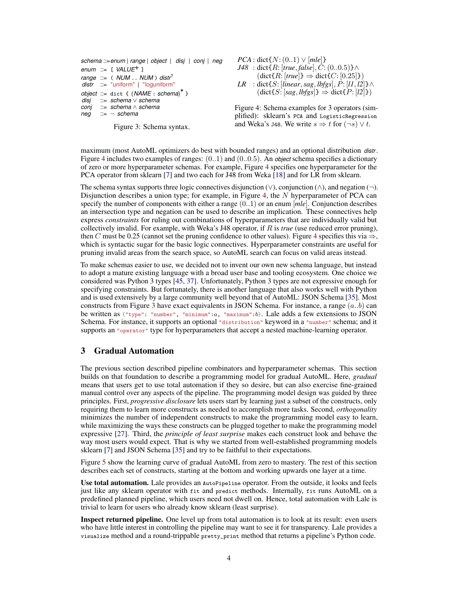| schema ::= enum   range   object   disj   conj   neg                                                        |
|-------------------------------------------------------------------------------------------------------------|
| enum ::= $[VALUE^{+}]$                                                                                      |
| range $\equiv$ ( NUM  NUM ) distr <sup>?</sup><br>$dist$ ::= "uniform"   "loguniform"                       |
| object ::= dict { $(NAME : schema)^*$ }<br>disi ::= schema $\vee$ schema<br>conj ::= schema $\wedge$ schema |
| $neg ::= \neg$ schema                                                                                       |

*PCA* : dict $\{N: (0..1) \vee [mle]\}$ *J48* : dict{R: [*true*, *false*],  $C$ : (0..0.5)}∧  $(\text{dict}\lbrace R: [true]\rbrace \Rightarrow \text{dict}\lbrace C: [0.25]\rbrace)$ *LR* : dict ${S:$  [*linear*, *sag*, *lbfgs*],  $P:$  [*l1*, *l2*]}∧  $(\text{dict}\{S: [sag, lbgs]\} \Rightarrow \text{dict}\{P: [l2]\})$ 

<span id="page-3-1"></span>Figure 4: Schema examples for 3 operators (simplified): sklearn's PCA and LogisticRegression and Weka's J48. We write  $s \Rightarrow t$  for  $(\neg s) \lor t$ .

<span id="page-3-0"></span>Figure 3: Schema syntax.

maximum (most AutoML optimizers do best with bounded ranges) and an optional distribution *distr* . Figure [4](#page-3-1) includes two examples of ranges: (0..1) and (0..0.5). An *object* schema specifies a dictionary of zero or more hyperparameter schemas. For example, Figure [4](#page-3-1) specifies one hyperparameter for the PCA operator from sklearn [\[7\]](#page-10-1) and two each for J48 from Weka [\[18\]](#page-11-4) and for LR from sklearn.

The schema syntax supports three logic connectives disjunction  $(\vee)$ , conjunction  $(\wedge)$ , and negation  $(\neg)$ . Disjunction describes a union type; for example, in Figure [4,](#page-3-1) the  $N$  hyperparameter of PCA can specify the number of components with either a range (0..1) or an enum [*mle*]. Conjunction describes an intersection type and negation can be used to describe an implication. These connectives help express *constraints* for ruling out combinations of hyperparameters that are individually valid but collectively invalid. For example, with Weka's J48 operator, if R is *true* (use reduced error pruning), then C must be 0.25 (cannot set the pruning confidence to other values). Figure [4](#page-3-1) specifies this via  $\Rightarrow$ , which is syntactic sugar for the basic logic connectives. Hyperparameter constraints are useful for pruning invalid areas from the search space, so AutoML search can focus on valid areas instead.

To make schemas easier to use, we decided not to invent our own new schema language, but instead to adopt a mature existing language with a broad user base and tooling ecosystem. One choice we considered was Python 3 types [\[45,](#page-12-4) [37\]](#page-12-5). Unfortunately, Python 3 types are not expressive enough for specifying constraints. But fortunately, there is another language that also works well with Python and is used extensively by a large community well beyond that of AutoML: JSON Schema [\[35\]](#page-12-6). Most constructs from Figure [3](#page-3-0) have exact equivalents in JSON Schema. For instance, a range  $(a,b)$  can be written as  $\{\text{``type''}: \text{``number''}, \text{``minimum''}:a, \text{``maximum''}:b\}$ . Lale adds a few extensions to JSON Schema. For instance, it supports an optional "distribution" keyword in a "number" schema; and it supports an "operator" type for hyperparameters that accept a nested machine-learning operator.

## <span id="page-3-2"></span>3 Gradual Automation

The previous section described pipeline combinators and hyperparameter schemas. This section builds on that foundation to describe a programming model for gradual AutoML. Here, *gradual* means that users get to use total automation if they so desire, but can also exercise fine-grained manual control over any aspects of the pipeline. The programming model design was guided by three principles. First, *progressive disclosure* lets users start by learning just a subset of the constructs, only requiring them to learn more constructs as needed to accomplish more tasks. Second, *orthogonality* minimizes the number of independent constructs to make the programming model easy to learn, while maximizing the ways these constructs can be plugged together to make the programming model expressive [\[27\]](#page-11-5). Third, the *principle of least surprise* makes each construct look and behave the way most users would expect. That is why we started from well-established programming models sklearn [\[7\]](#page-10-1) and JSON Schema [\[35\]](#page-12-6) and try to be faithful to their expectations.

Figure [5](#page-4-1) show the learning curve of gradual AutoML from zero to mastery. The rest of this section describes each set of constructs, starting at the bottom and working upwards one layer at a time.

Use total automation. Lale provides an AutoPipeline operator. From the outside, it looks and feels just like any sklearn operator with fit and predict methods. Internally, fit runs AutoML on a predefined planned pipeline, which users need not dwell on. Hence, total automation with Lale is trivial to learn for users who already know sklearn (least surprise).

Inspect returned pipeline. One level up from total automation is to look at its result: even users who have little interest in controlling the pipeline may want to see it for transparency. Lale provides a visualize method and a round-trippable pretty\_print method that returns a pipeline's Python code.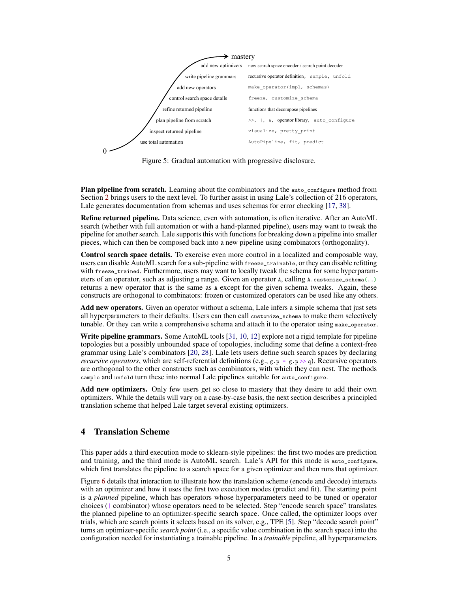

<span id="page-4-1"></span>Figure 5: Gradual automation with progressive disclosure.

Plan pipeline from scratch. Learning about the combinators and the auto\_configure method from Section [2](#page-1-0) brings users to the next level. To further assist in using Lale's collection of 216 operators, Lale generates documentation from schemas and uses schemas for error checking [\[17,](#page-11-6) [38\]](#page-12-7).

Refine returned pipeline. Data science, even with automation, is often iterative. After an AutoML search (whether with full automation or with a hand-planned pipeline), users may want to tweak the pipeline for another search. Lale supports this with functions for breaking down a pipeline into smaller pieces, which can then be composed back into a new pipeline using combinators (orthogonality).

Control search space details. To exercise even more control in a localized and composable way, users can disable AutoML search for a sub-pipeline with freeze\_trainable, or they can disable refitting with freeze\_trained. Furthermore, users may want to locally tweak the schema for some hyperparameters of an operator, such as adjusting a range. Given an operator  $\alpha$ , calling  $\alpha$ . customize\_schema(..) returns a new operator that is the same as A except for the given schema tweaks. Again, these constructs are orthogonal to combinators: frozen or customized operators can be used like any others.

Add new operators. Given an operator without a schema, Lale infers a simple schema that just sets all hyperparameters to their defaults. Users can then call customize\_schema to make them selectively tunable. Or they can write a comprehensive schema and attach it to the operator using make\_operator.

Write pipeline grammars. Some AutoML tools [\[31,](#page-11-7) [10,](#page-10-4) [12\]](#page-10-5) explore not a rigid template for pipeline topologies but a possibly unbounded space of topologies, including some that define a context-free grammar using Lale's combinators [\[20,](#page-11-8) [28\]](#page-11-9). Lale lets users define such search spaces by declaring *recursive operators*, which are self-referential definitions (e.g.,  $g \cdot p = g \cdot p \gg q$ ). Recursive operators are orthogonal to the other constructs such as combinators, with which they can nest. The methods sample and unfold turn these into normal Lale pipelines suitable for auto\_configure.

Add new optimizers. Only few users get so close to mastery that they desire to add their own optimizers. While the details will vary on a case-by-case basis, the next section describes a principled translation scheme that helped Lale target several existing optimizers.

# <span id="page-4-0"></span>4 Translation Scheme

This paper adds a third execution mode to sklearn-style pipelines: the first two modes are prediction and training, and the third mode is AutoML search. Lale's API for this mode is auto\_configure, which first translates the pipeline to a search space for a given optimizer and then runs that optimizer.

Figure [6](#page-5-0) details that interaction to illustrate how the translation scheme (encode and decode) interacts with an optimizer and how it uses the first two execution modes (predict and fit). The starting point is a *planned* pipeline, which has operators whose hyperparameters need to be tuned or operator choices (| combinator) whose operators need to be selected. Step "encode search space" translates the planned pipeline to an optimizer-specific search space. Once called, the optimizer loops over trials, which are search points it selects based on its solver, e.g., TPE [\[5\]](#page-10-6). Step "decode search point" turns an optimizer-specific *search point* (i.e., a specific value combination in the search space) into the configuration needed for instantiating a trainable pipeline. In a *trainable* pipeline, all hyperparameters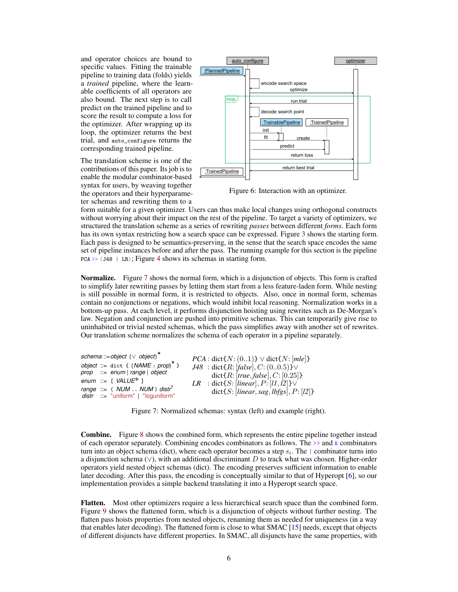and operator choices are bound to specific values. Fitting the trainable pipeline to training data (folds) yields a *trained* pipeline, where the learnable coefficients of all operators are also bound. The next step is to call predict on the trained pipeline and to score the result to compute a loss for the optimizer. After wrapping up its loop, the optimizer returns the best trial, and auto\_configure returns the corresponding trained pipeline.

The translation scheme is one of the contributions of this paper. Its job is to enable the modular combinator-based syntax for users, by weaving together the operators and their hyperparameter schemas and rewriting them to a



<span id="page-5-0"></span>Figure 6: Interaction with an optimizer.

form suitable for a given optimizer. Users can thus make local changes using orthogonal constructs without worrying about their impact on the rest of the pipeline. To target a variety of optimizers, we structured the translation scheme as a series of rewriting *passes* between different *forms*. Each form has its own syntax restricting how a search space can be expressed. Figure [3](#page-3-0) shows the starting form. Each pass is designed to be semantics-preserving, in the sense that the search space encodes the same set of pipeline instances before and after the pass. The running example for this section is the pipeline  $PCA \rightarrow (J48 | LR);$  $PCA \rightarrow (J48 | LR);$  $PCA \rightarrow (J48 | LR);$  Figure 4 shows its schemas in starting form.

**Normalize.** Figure [7](#page-5-1) shows the normal form, which is a disjunction of objects. This form is crafted to simplify later rewriting passes by letting them start from a less feature-laden form. While nesting is still possible in normal form, it is restricted to objects. Also, once in normal form, schemas contain no conjunctions or negations, which would inhibit local reasoning. Normalization works in a bottom-up pass. At each level, it performs disjunction hoisting using rewrites such as De-Morgan's law. Negation and conjunction are pushed into primitive schemas. This can temporarily give rise to uninhabited or trivial nested schemas, which the pass simplifies away with another set of rewrites. Our translation scheme normalizes the schema of each operator in a pipeline separately.

| schema::=object ( $\vee$ object) <sup>*</sup>                                   | $PCA: \text{dict}\lbrace N:(01)\rbrace \lor \text{dict}\lbrace N:[mle]\rbrace$                |
|---------------------------------------------------------------------------------|-----------------------------------------------------------------------------------------------|
| object ::= dict { $(NAME : prop)^*$ }<br>$prop$ ::= enum   range   object       | $J48$ : dict{R: [false], C: (00.5)} $\vee$                                                    |
| enum ::= $[VALUE+]$                                                             | dict $\{R: [true, false], C: [0.25]\}$<br><i>LR</i> : dict{S: [linear], $P$ : [11,12]} $\vee$ |
| range ::= $( NUM NUM)$ distr <sup>?</sup><br>$dist$ := "uniform"   "loguniform" | dict $\{S: [linear, sag, lbfgs], P: [l2]\}$                                                   |

<span id="page-5-1"></span>Figure 7: Normalized schemas: syntax (left) and example (right).

Combine. Figure [8](#page-6-0) shows the combined form, which represents the entire pipeline together instead of each operator separately. Combining encodes combinators as follows. The  $\gg$  and  $\⊂>$ combinators turn into an object schema (dict), where each operator becomes a step  $s_i$ . The  $\perp$  combinator turns into a disjunction schema ( $\vee$ ), with an additional discriminant D to track what was chosen. Higher-order operators yield nested object schemas (dict). The encoding preserves sufficient information to enable later decoding. After this pass, the encoding is conceptually similar to that of Hyperopt [\[6\]](#page-10-2), so our implementation provides a simple backend translating it into a Hyperopt search space.

Flatten. Most other optimizers require a less hierarchical search space than the combined form. Figure [9](#page-6-1) shows the flattened form, which is a disjunction of objects without further nesting. The flatten pass hoists properties from nested objects, renaming them as needed for uniqueness (in a way that enables later decoding). The flattened form is close to what SMAC [\[15\]](#page-10-3) needs, except that objects of different disjuncts have different properties. In SMAC, all disjuncts have the same properties, with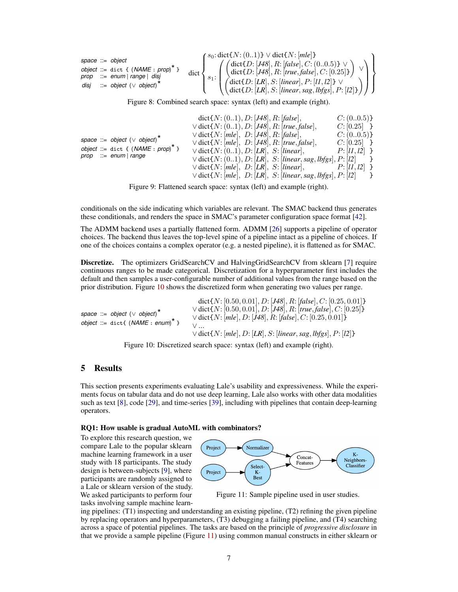| prop<br>disi | space $ ::=$ object<br>object ::= dict { $(NAME : prop)^*$<br>$ ::= enum   range   disj$<br>$ ::=$ object ( $\vee$ object) | $dict \leftarrow$ | $\zeta(s_0:dist\{N:(01)\}\vee dist\{N:[mle]\})$<br>$\left(\begin{array}{c}\text{dict}\{D: [J48], R: [false], C: (00.5)\} \vee\\ \text{dict}\{D: [J48], R: [true, false], C: [0.25]\}\end{array}\right)$<br>$\left(\begin{matrix} \text{dict}\{D; [LR], S; [linear], P; [l1, l2]\} \vee \ \text{dict}\{D; [LR], S; [linear, sag, lbgs], P; [l2]\} \end{matrix}\right)$ |  |
|--------------|----------------------------------------------------------------------------------------------------------------------------|-------------------|-----------------------------------------------------------------------------------------------------------------------------------------------------------------------------------------------------------------------------------------------------------------------------------------------------------------------------------------------------------------------|--|
|              |                                                                                                                            |                   |                                                                                                                                                                                                                                                                                                                                                                       |  |

<span id="page-6-0"></span>Figure 8: Combined search space: syntax (left) and example (right).

| space ::= object ( $\vee$ object) <sup>*</sup><br>object ::= dict { $(NAME : prop)^{^n}$ }<br>$prop$ ::= $enum   range$ | dict $\{N: (01), D: [J48], R: [false],$<br>$\vee$ dict $\{N: (01), D: [J48], R: [true, false],$<br>$\vee$ dict $\{N: [mle], D: [J48], R: [false],$<br>$\vee$ dict $\{N: [mle], D: [J48], R: [true, false],$<br>$\vee$ dict $\{N: (01), D: [LR], S: [linear],$<br>$\vee$ dict $\{N:(01), D:[LR], S:[linear, sag, lbfgs], P:[l2]\}\$<br>$\vee$ dict $\{N: [mle], D: [LR], S: [linear],$<br>$\vee$ dict $\{N: [mle], D: [LR], S: [linear, sag, lbfgs], P: [l2] \}$ | C: (00.5)<br>$C: [0.25]$ }<br>C: (00.5)<br>$C: [0.25]$ }<br>$P: [l1, l2]$ }<br>$P: [l1, l2]$ } | $\rightarrow$ |
|-------------------------------------------------------------------------------------------------------------------------|-----------------------------------------------------------------------------------------------------------------------------------------------------------------------------------------------------------------------------------------------------------------------------------------------------------------------------------------------------------------------------------------------------------------------------------------------------------------|------------------------------------------------------------------------------------------------|---------------|
|-------------------------------------------------------------------------------------------------------------------------|-----------------------------------------------------------------------------------------------------------------------------------------------------------------------------------------------------------------------------------------------------------------------------------------------------------------------------------------------------------------------------------------------------------------------------------------------------------------|------------------------------------------------------------------------------------------------|---------------|

<span id="page-6-1"></span>Figure 9: Flattened search space: syntax (left) and example (right).

conditionals on the side indicating which variables are relevant. The SMAC backend thus generates these conditionals, and renders the space in SMAC's parameter configuration space format [\[42\]](#page-12-8).

The ADMM backend uses a partially flattened form. ADMM [\[26\]](#page-11-1) supports a pipeline of operator choices. The backend thus leaves the top-level spine of a pipeline intact as a pipeline of choices. If one of the choices contains a complex operator (e.g. a nested pipeline), it is flattened as for SMAC.

Discretize. The optimizers GridSearchCV and HalvingGridSearchCV from sklearn [\[7\]](#page-10-1) require continuous ranges to be made categorical. Discretization for a hyperparameter first includes the default and then samples a user-configurable number of additional values from the range based on the prior distribution. Figure [10](#page-6-2) shows the discretized form when generating two values per range.

| space ::= object ( $\vee$ object) <sup>*</sup><br>$\vee$ dict $\{N: [mle], D: [J48], R: [false], C: [0.25, 0.01]\}$<br>object ::= dict{ $(NAME : enum)^*$ }<br>$\vee$ dict $\{N: [mle], D: [LR], S: [linear, sag, lbfgs], P: [l2]\}$ |  | dict $\{N: [0.50, 0.01], D: [J48], R: [false], C: [0.25, 0.01]\}$<br>$\vee$ dict $\{N: [0.50, 0.01], D: [J48], R: [true, false], C: [0.25]\}$ |
|--------------------------------------------------------------------------------------------------------------------------------------------------------------------------------------------------------------------------------------|--|-----------------------------------------------------------------------------------------------------------------------------------------------|
|--------------------------------------------------------------------------------------------------------------------------------------------------------------------------------------------------------------------------------------|--|-----------------------------------------------------------------------------------------------------------------------------------------------|

<span id="page-6-2"></span>Figure 10: Discretized search space: syntax (left) and example (right).

# <span id="page-6-4"></span>5 Results

This section presents experiments evaluating Lale's usability and expressiveness. While the experiments focus on tabular data and do not use deep learning, Lale also works with other data modalities such as text [\[8\]](#page-10-7), code [\[29\]](#page-11-10), and time-series [\[39\]](#page-12-9), including with pipelines that contain deep-learning operators.

#### RQ1: How usable is gradual AutoML with combinators?

To explore this research question, we compare Lale to the popular sklearn machine learning framework in a user study with 18 participants. The study design is between-subjects [\[9\]](#page-10-8), where participants are randomly assigned to a Lale or sklearn version of the study. We asked participants to perform four tasks involving sample machine learn-



<span id="page-6-3"></span>Figure 11: Sample pipeline used in user studies.

ing pipelines: (T1) inspecting and understanding an existing pipeline, (T2) refining the given pipeline by replacing operators and hyperparameters, (T3) debugging a failing pipeline, and (T4) searching across a space of potential pipelines. The tasks are based on the principle of *progressive disclosure* in that we provide a sample pipeline (Figure [11\)](#page-6-3) using common manual constructs in either sklearn or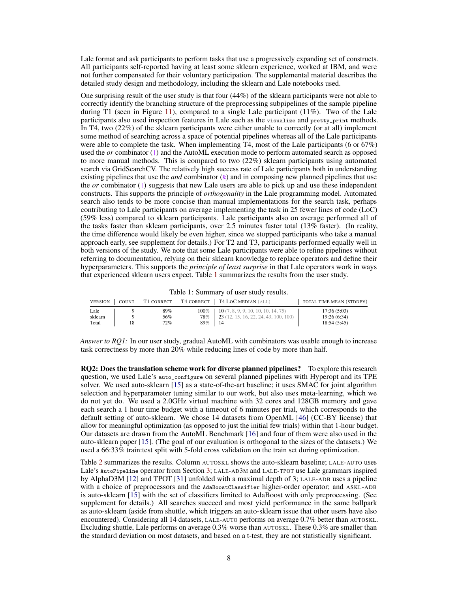Lale format and ask participants to perform tasks that use a progressively expanding set of constructs. All participants self-reported having at least some sklearn experience, worked at IBM, and were not further compensated for their voluntary participation. The supplemental material describes the detailed study design and methodology, including the sklearn and Lale notebooks used.

One surprising result of the user study is that four (44%) of the sklearn participants were not able to correctly identify the branching structure of the preprocessing subpipelines of the sample pipeline during T1 (seen in Figure [11\)](#page-6-3), compared to a single Lale participant  $(11\%)$ . Two of the Lale participants also used inspection features in Lale such as the visualize and pretty\_print methods. In T4, two (22%) of the sklearn participants were either unable to correctly (or at all) implement some method of searching across a space of potential pipelines whereas all of the Lale participants were able to complete the task. When implementing  $\overline{T4}$ , most of the Lale participants (6 or 67%) used the *or* combinator (|) and the AutoML execution mode to perform automated search as opposed to more manual methods. This is compared to two (22%) sklearn participants using automated search via GridSearchCV. The relatively high success rate of Lale participants both in understanding existing pipelines that use the *and* combinator  $(k)$  and in composing new planned pipelines that use the *or* combinator  $(|)$  suggests that new Lale users are able to pick up and use these independent constructs. This supports the principle of *orthogonality* in the Lale programming model. Automated search also tends to be more concise than manual implementations for the search task, perhaps contributing to Lale participants on average implementing the task in 25 fewer lines of code (LoC) (59% less) compared to sklearn participants. Lale participants also on average performed all of the tasks faster than sklearn participants, over 2.5 minutes faster total (13% faster). (In reality, the time difference would likely be even higher, since we stopped participants who take a manual approach early, see supplement for details.) For T2 and T3, participants performed equally well in both versions of the study. We note that some Lale participants were able to refine pipelines without referring to documentation, relying on their sklearn knowledge to replace operators and define their hyperparameters. This supports the *principle of least surprise* in that Lale operators work in ways that experienced sklearn users expect. Table [1](#page-7-0) summarizes the results from the user study.

<span id="page-7-0"></span>Table 1: Summary of user study results.

| <b>VERSION</b>           | COUNT | T1 CORRECT        |     | T4 CORRECT   T4 LOC MEDIAN (ALL)                                                                                   | TOTAL TIME MEAN (STDDEV)                  |
|--------------------------|-------|-------------------|-----|--------------------------------------------------------------------------------------------------------------------|-------------------------------------------|
| Lale<br>sklearn<br>Total |       | 89%<br>56%<br>72% | 89% | $100\%$   10 (7, 8, 9, 9, 10, 10, 10, 14, 75)<br><b>78%</b>   <b>23</b> (12, 15, 16, 22, 24, 43, 100, 100)<br>- 14 | 17:36(5:03)<br>19:26(6:34)<br>18:54(5:45) |

*Answer to RQ1:* In our user study, gradual AutoML with combinators was usable enough to increase task correctness by more than 20% while reducing lines of code by more than half.

RQ2: Does the translation scheme work for diverse planned pipelines? To explore this research question, we used Lale's auto\_configure on several planned pipelines with Hyperopt and its TPE solver. We used auto-sklearn [\[15\]](#page-10-3) as a state-of-the-art baseline; it uses SMAC for joint algorithm selection and hyperparameter tuning similar to our work, but also uses meta-learning, which we do not yet do. We used a 2.0GHz virtual machine with 32 cores and 128GB memory and gave each search a 1 hour time budget with a timeout of 6 minutes per trial, which corresponds to the default setting of auto-sklearn. We chose 14 datasets from OpenML [\[46\]](#page-12-10) (CC-BY license) that allow for meaningful optimization (as opposed to just the initial few trials) within that 1-hour budget. Our datasets are drawn from the AutoML Benchmark [\[16\]](#page-11-11) and four of them were also used in the auto-sklearn paper [\[15\]](#page-10-3). (The goal of our evaluation is orthogonal to the sizes of the datasets.) We used a 66:33% train:test split with 5-fold cross validation on the train set during optimization.

Table [2](#page-8-0) summarizes the results. Column AUTOSKL shows the auto-sklearn baseline; LALE-AUTO uses Lale's AutoPipeline operator from Section [3;](#page-3-2) LALE-AD3M and LALE-TPOT use Lale grammars inspired by AlphaD3M [\[12\]](#page-10-5) and TPOT [\[31\]](#page-11-7) unfolded with a maximal depth of 3; LALE-ADB uses a pipeline with a choice of preprocessors and the AdaBoostClassifier higher-order operator; and ASKL-ADB is auto-sklearn [\[15\]](#page-10-3) with the set of classifiers limited to AdaBoost with only preprocessing. (See supplement for details.) All searches succeed and most yield performance in the same ballpark as auto-sklearn (aside from shuttle, which triggers an auto-sklearn issue that other users have also encountered). Considering all 14 datasets, LALE-AUTO performs on average 0.7% better than AUTOSKL. Excluding shuttle, Lale performs on average 0.3% worse than AUTOSKL. These 0.3% are smaller than the standard deviation on most datasets, and based on a t-test, they are not statistically significant.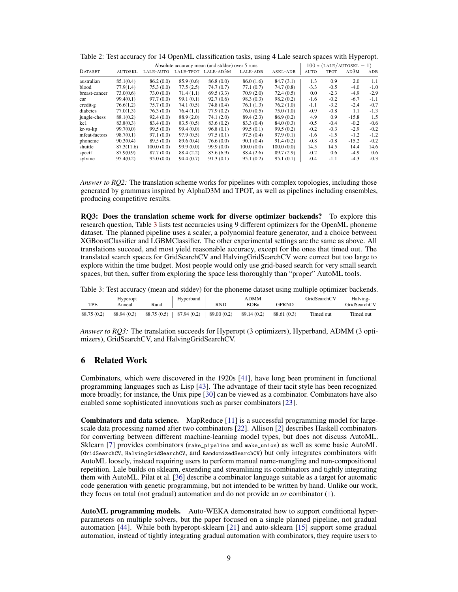|                |            |            |            | Absolute accuracy mean (and stddev) over 5 runs |            |            |        |             | $100 * (LALE/AUTOSKL - 1)$ |        |
|----------------|------------|------------|------------|-------------------------------------------------|------------|------------|--------|-------------|----------------------------|--------|
| <b>DATASET</b> | AUTOSKL    | LALE-AUTO  | LALE-TPOT  | LALE-AD3M                                       | LALE-ADB   | ASKL-ADB   | AUTO   | <b>TPOT</b> | AD3M                       | ADB    |
| australian     | 85.1(0.4)  | 86.2(0.0)  | 85.9(0.6)  | 86.8(0.0)                                       | 86.0(1.6)  | 84.7(3.1)  | 1.3    | 0.9         | 2.0                        | 1.1    |
| blood          | 77.9(1.4)  | 75.3 (0.0) | 77.5(2.5)  | 74.7(0.7)                                       | 77.1(0.7)  | 74.7 (0.8) | $-3.3$ | $-0.5$      | $-4.0$                     | $-1.0$ |
| breast-cancer  | 73.0(0.6)  | 73.0 (0.0) | 71.4(1.1)  | 69.5(3.3)                                       | 70.9(2.0)  | 72.4(0.5)  | 0.0    | $-2.3$      | $-4.9$                     | $-2.9$ |
| car            | 99.4(0.1)  | 97.7(0.0)  | 99.1(0.1)  | 92.7(0.6)                                       | 98.3(0.3)  | 98.2(0.2)  | $-1.6$ | $-0.2$      | $-6.7$                     | $-1.1$ |
| credit-g       | 76.6(1.2)  | 75.7(0.0)  | 74.1(0.5)  | 74.8(0.4)                                       | 76.1(1.3)  | 76.2(1.0)  | $-1.1$ | $-3.2$      | $-2.4$                     | $-0.7$ |
| diabetes       | 77.0(1.3)  | 76.3(0.0)  | 76.4(1.1)  | 77.9(0.2)                                       | 76.0(0.5)  | 75.0(1.0)  | $-0.9$ | $-0.8$      | 1.1                        | $-1.3$ |
| jungle-chess   | 88.1(0.2)  | 92.4(0.0)  | 88.9(2.0)  | 74.1(2.0)                                       | 89.4 (2.3) | 86.9(0.2)  | 4.9    | 0.9         | $-15.8$                    | 1.5    |
| kc1            | 83.8(0.3)  | 83.4 (0.0) | 83.5(0.5)  | 83.6(0.2)                                       | 83.3 (0.4) | 84.0(0.3)  | $-0.5$ | $-0.4$      | $-0.2$                     | $-0.6$ |
| kr-vs-kp       | 99.7(0.0)  | 99.5(0.0)  | 99.4(0.0)  | 96.8(0.1)                                       | 99.5(0.1)  | 99.5(0.2)  | $-0.2$ | $-0.3$      | $-2.9$                     | $-0.2$ |
| mfeat-factors  | 98.7(0.1)  | 97.1(0.0)  | 97.9(0.5)  | 97.5(0.1)                                       | 97.5(0.4)  | 97.9(0.1)  | $-1.6$ | $-1.5$      | $-1.2$                     | $-1.2$ |
| phoneme        | 90.3(0.4)  | 89.5(0.0)  | 89.6 (0.4) | 76.6(0.0)                                       | 90.1(0.4)  | 91.4(0.2)  | $-0.8$ | $-0.8$      | $-15.2$                    | $-0.2$ |
| shuttle        | 87.3(11.6) | 100.0(0.0) | 99.9(0.0)  | 99.9(0.0)                                       | 100.0(0.0) | 100.0(0.0) | 14.5   | 14.5        | 14.4                       | 14.6   |
| spectf         | 87.9(0.9)  | 87.7 (0.0) | 88.4 (2.2) | 83.6 (6.9)                                      | 88.4 (2.6) | 89.7 (2.9) | $-0.2$ | 0.6         | $-4.9$                     | 0.6    |
| sylvine        | 95,4(0,2)  | 95.0(0.0)  | 94.4(0.7)  | 91.3(0.1)                                       | 95.1(0.2)  | 95.1(0.1)  | $-0.4$ | $-1.1$      | $-4.3$                     | $-0.3$ |

<span id="page-8-0"></span>Table 2: Test accuracy for 14 OpenML classification tasks, using 4 Lale search spaces with Hyperopt.

*Answer to RQ2:* The translation scheme works for pipelines with complex topologies, including those generated by grammars inspired by AlphaD3M and TPOT, as well as pipelines including ensembles, producing competitive results.

RQ3: Does the translation scheme work for diverse optimizer backends? To explore this research question, Table [3](#page-8-1) lists test accuracies using 9 different optimizers for the OpenML phoneme dataset. The planned pipeline uses a scaler, a polynomial feature generator, and a choice between XGBoostClassifier and LGBMClassifier. The other experimental settings are the same as above. All translations succeed, and most yield reasonable accuracy, except for the ones that timed out. The translated search spaces for GridSearchCV and HalvingGridSearchCV were correct but too large to explore within the time budget. Most people would only use grid-based search for very small search spaces, but then, suffer from exploring the space less thoroughly than "proper" AutoML tools.

<span id="page-8-1"></span>Table 3: Test accuracy (mean and stddev) for the phoneme dataset using multiple optimizer backends.

| TPE         | Hyperopt<br>Anneal | Rand | Hyperband                                | <b>RND</b> | ADMM<br>BOBa | GPRND       | GridSearchCV | Halving-<br>GridSearchCV |
|-------------|--------------------|------|------------------------------------------|------------|--------------|-------------|--------------|--------------------------|
| 88.75 (0.2) | 88.94 (0.3)        |      | $88.75(0.5)$   87.94 (0.2)   89.00 (0.2) |            | 89.14 (0.2)  | 88.61 (0.3) | Timed out    | Timed out                |

*Answer to RQ3:* The translation succeeds for Hyperopt (3 optimizers), Hyperband, ADMM (3 optimizers), GridSearchCV, and HalvingGridSearchCV.

## 6 Related Work

Combinators, which were discovered in the 1920s [\[41\]](#page-12-0), have long been prominent in functional programming languages such as Lisp [\[43\]](#page-12-1). The advantage of their tacit style has been recognized more broadly; for instance, the Unix pipe [\[30\]](#page-11-12) can be viewed as a combinator. Combinators have also enabled some sophisticated innovations such as parser combinators [\[23\]](#page-11-13).

Combinators and data science. MapReduce [\[11\]](#page-10-0) is a successful programming model for largescale data processing named after two combinators [\[22\]](#page-11-0). Allison [\[2\]](#page-10-9) describes Haskell combinators for converting between different machine-learning model types, but does not discuss AutoML. Sklearn [\[7\]](#page-10-1) provides combinators (make\_pipeline and make\_union) as well as some basic AutoML (GridSearchCV, HalvingGridSearchCV, and RandomizedSearchCV) but only integrates combinators with AutoML loosely, instead requiring users to perform manual name-mangling and non-compositional repetition. Lale builds on sklearn, extending and streamlining its combinators and tightly integrating them with AutoML. Pilat et al. [\[36\]](#page-12-11) describe a combinator language suitable as a target for automatic code generation with genetic programming, but not intended to be written by hand. Unlike our work, they focus on total (not gradual) automation and do not provide an *or* combinator (|).

AutoML programming models. Auto-WEKA demonstrated how to support conditional hyperparameters on multiple solvers, but the paper focused on a single planned pipeline, not gradual automation [\[44\]](#page-12-12). While both hyperopt-sklearn [\[21\]](#page-11-14) and auto-sklearn [\[15\]](#page-10-3) support some gradual automation, instead of tightly integrating gradual automation with combinators, they require users to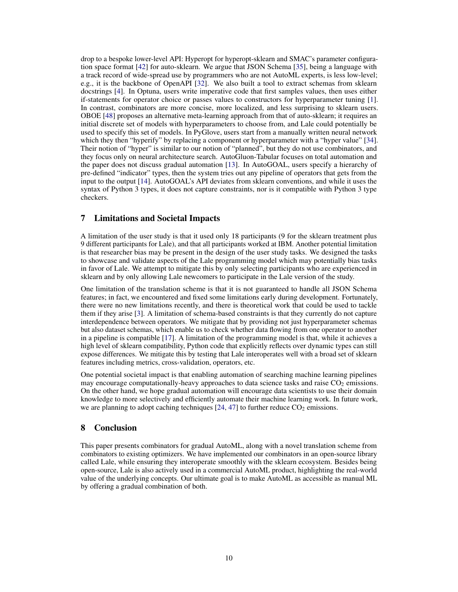drop to a bespoke lower-level API: Hyperopt for hyperopt-sklearn and SMAC's parameter configuration space format [\[42\]](#page-12-8) for auto-sklearn. We argue that JSON Schema [\[35\]](#page-12-6), being a language with a track record of wide-spread use by programmers who are not AutoML experts, is less low-level; e.g., it is the backbone of OpenAPI [\[32\]](#page-11-15). We also built a tool to extract schemas from sklearn docstrings [\[4\]](#page-10-10). In Optuna, users write imperative code that first samples values, then uses either if-statements for operator choice or passes values to constructors for hyperparameter tuning [\[1\]](#page-10-11). In contrast, combinators are more concise, more localized, and less surprising to sklearn users. OBOE [\[48\]](#page-12-13) proposes an alternative meta-learning approach from that of auto-sklearn; it requires an initial discrete set of models with hyperparameters to choose from, and Lale could potentially be used to specify this set of models. In PyGlove, users start from a manually written neural network which they then "hyperify" by replacing a component or hyperparameter with a "hyper value" [\[34\]](#page-12-14). Their notion of "hyper" is similar to our notion of "planned", but they do not use combinators, and they focus only on neural architecture search. AutoGluon-Tabular focuses on total automation and the paper does not discuss gradual automation [\[13\]](#page-10-12). In AutoGOAL, users specify a hierarchy of pre-defined "indicator" types, then the system tries out any pipeline of operators that gets from the input to the output [\[14\]](#page-10-13). AutoGOAL's API deviates from sklearn conventions, and while it uses the syntax of Python 3 types, it does not capture constraints, nor is it compatible with Python 3 type checkers.

# <span id="page-9-0"></span>7 Limitations and Societal Impacts

A limitation of the user study is that it used only 18 participants (9 for the sklearn treatment plus 9 different participants for Lale), and that all participants worked at IBM. Another potential limitation is that researcher bias may be present in the design of the user study tasks. We designed the tasks to showcase and validate aspects of the Lale programming model which may potentially bias tasks in favor of Lale. We attempt to mitigate this by only selecting participants who are experienced in sklearn and by only allowing Lale newcomers to participate in the Lale version of the study.

One limitation of the translation scheme is that it is not guaranteed to handle all JSON Schema features; in fact, we encountered and fixed some limitations early during development. Fortunately, there were no new limitations recently, and there is theoretical work that could be used to tackle them if they arise [\[3\]](#page-10-14). A limitation of schema-based constraints is that they currently do not capture interdependence between operators. We mitigate that by providing not just hyperparameter schemas but also dataset schemas, which enable us to check whether data flowing from one operator to another in a pipeline is compatible [\[17\]](#page-11-6). A limitation of the programming model is that, while it achieves a high level of sklearn compatibility, Python code that explicitly reflects over dynamic types can still expose differences. We mitigate this by testing that Lale interoperates well with a broad set of sklearn features including metrics, cross-validation, operators, etc.

One potential societal impact is that enabling automation of searching machine learning pipelines may encourage computationally-heavy approaches to data science tasks and raise  $CO<sub>2</sub>$  emissions. On the other hand, we hope gradual automation will encourage data scientists to use their domain knowledge to more selectively and efficiently automate their machine learning work. In future work, we are planning to adopt caching techniques  $[24, 47]$  $[24, 47]$  $[24, 47]$  to further reduce  $CO<sub>2</sub>$  emissions.

## 8 Conclusion

This paper presents combinators for gradual AutoML, along with a novel translation scheme from combinators to existing optimizers. We have implemented our combinators in an open-source library called Lale, while ensuring they interoperate smoothly with the sklearn ecosystem. Besides being open-source, Lale is also actively used in a commercial AutoML product, highlighting the real-world value of the underlying concepts. Our ultimate goal is to make AutoML as accessible as manual ML by offering a gradual combination of both.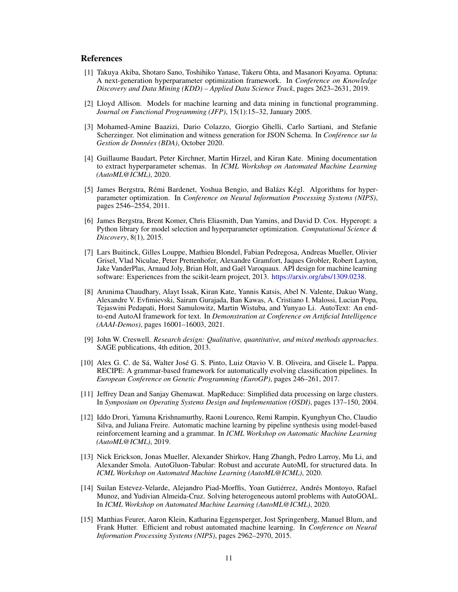#### References

- <span id="page-10-11"></span>[1] Takuya Akiba, Shotaro Sano, Toshihiko Yanase, Takeru Ohta, and Masanori Koyama. Optuna: A next-generation hyperparameter optimization framework. In *Conference on Knowledge Discovery and Data Mining (KDD) – Applied Data Science Track*, pages 2623–2631, 2019.
- <span id="page-10-9"></span>[2] Lloyd Allison. Models for machine learning and data mining in functional programming. *Journal on Functional Programming (JFP)*, 15(1):15–32, January 2005.
- <span id="page-10-14"></span>[3] Mohamed-Amine Baazizi, Dario Colazzo, Giorgio Ghelli, Carlo Sartiani, and Stefanie Scherzinger. Not elimination and witness generation for JSON Schema. In *Conférence sur la Gestion de Données (BDA)*, October 2020.
- <span id="page-10-10"></span>[4] Guillaume Baudart, Peter Kirchner, Martin Hirzel, and Kiran Kate. Mining documentation to extract hyperparameter schemas. In *ICML Workshop on Automated Machine Learning (AutoML@ICML)*, 2020.
- <span id="page-10-6"></span>[5] James Bergstra, Rémi Bardenet, Yoshua Bengio, and Balázs Kégl. Algorithms for hyperparameter optimization. In *Conference on Neural Information Processing Systems (NIPS)*, pages 2546–2554, 2011.
- <span id="page-10-2"></span>[6] James Bergstra, Brent Komer, Chris Eliasmith, Dan Yamins, and David D. Cox. Hyperopt: a Python library for model selection and hyperparameter optimization. *Computational Science & Discovery*, 8(1), 2015.
- <span id="page-10-1"></span>[7] Lars Buitinck, Gilles Louppe, Mathieu Blondel, Fabian Pedregosa, Andreas Mueller, Olivier Grisel, Vlad Niculae, Peter Prettenhofer, Alexandre Gramfort, Jaques Grobler, Robert Layton, Jake VanderPlas, Arnaud Joly, Brian Holt, and Gaël Varoquaux. API design for machine learning software: Experiences from the scikit-learn project, 2013. [https://arxiv.org/abs/1309.0238.](https://arxiv.org/abs/1309.0238)
- <span id="page-10-7"></span>[8] Arunima Chaudhary, Alayt Issak, Kiran Kate, Yannis Katsis, Abel N. Valente, Dakuo Wang, Alexandre V. Evfimievski, Sairam Gurajada, Ban Kawas, A. Cristiano I. Malossi, Lucian Popa, Tejaswini Pedapati, Horst Samulowitz, Martin Wistuba, and Yunyao Li. AutoText: An endto-end AutoAI framework for text. In *Demonstration at Conference on Artificial Intelligence (AAAI-Demos)*, pages 16001–16003, 2021.
- <span id="page-10-8"></span>[9] John W. Creswell. *Research design: Qualitative, quantitative, and mixed methods approaches*. SAGE publications, 4th edition, 2013.
- <span id="page-10-4"></span>[10] Alex G. C. de Sá, Walter José G. S. Pinto, Luiz Otavio V. B. Oliveira, and Gisele L. Pappa. RECIPE: A grammar-based framework for automatically evolving classification pipelines. In *European Conference on Genetic Programming (EuroGP)*, pages 246–261, 2017.
- <span id="page-10-0"></span>[11] Jeffrey Dean and Sanjay Ghemawat. MapReduce: Simplified data processing on large clusters. In *Symposium on Operating Systems Design and Implementation (OSDI)*, pages 137–150, 2004.
- <span id="page-10-5"></span>[12] Iddo Drori, Yamuna Krishnamurthy, Raoni Lourenco, Remi Rampin, Kyunghyun Cho, Claudio Silva, and Juliana Freire. Automatic machine learning by pipeline synthesis using model-based reinforcement learning and a grammar. In *ICML Workshop on Automatic Machine Learning (AutoML@ICML)*, 2019.
- <span id="page-10-12"></span>[13] Nick Erickson, Jonas Mueller, Alexander Shirkov, Hang Zhangh, Pedro Larroy, Mu Li, and Alexander Smola. AutoGluon-Tabular: Robust and accurate AutoML for structured data. In *ICML Workshop on Automated Machine Learning (AutoML@ICML)*, 2020.
- <span id="page-10-13"></span>[14] Suilan Estevez-Velarde, Alejandro Piad-Morffis, Yoan Gutiérrez, Andrés Montoyo, Rafael Munoz, and Yudivian Almeida-Cruz. Solving heterogeneous automl problems with AutoGOAL. In *ICML Workshop on Automated Machine Learning (AutoML@ICML)*, 2020.
- <span id="page-10-3"></span>[15] Matthias Feurer, Aaron Klein, Katharina Eggensperger, Jost Springenberg, Manuel Blum, and Frank Hutter. Efficient and robust automated machine learning. In *Conference on Neural Information Processing Systems (NIPS)*, pages 2962–2970, 2015.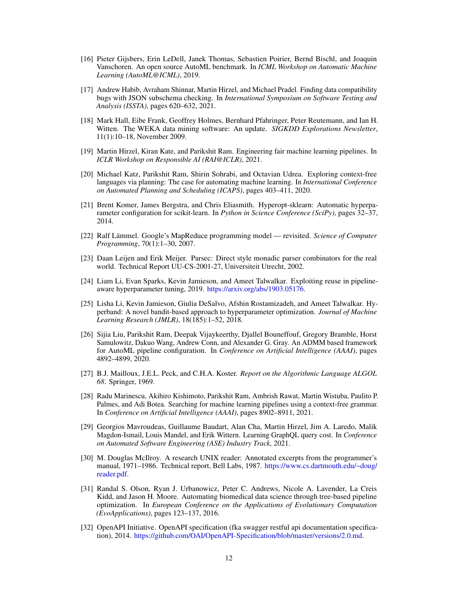- <span id="page-11-11"></span>[16] Pieter Gijsbers, Erin LeDell, Janek Thomas, Sebastien Poirier, Bernd Bischl, and Joaquin Vanschoren. An open source AutoML benchmark. In *ICML Workshop on Automatic Machine Learning (AutoML@ICML)*, 2019.
- <span id="page-11-6"></span>[17] Andrew Habib, Avraham Shinnar, Martin Hirzel, and Michael Pradel. Finding data compatibility bugs with JSON subschema checking. In *International Symposium on Software Testing and Analysis (ISSTA)*, pages 620–632, 2021.
- <span id="page-11-4"></span>[18] Mark Hall, Eibe Frank, Geoffrey Holmes, Bernhard Pfahringer, Peter Reutemann, and Ian H. Witten. The WEKA data mining software: An update. *SIGKDD Explorations Newsletter*, 11(1):10–18, November 2009.
- <span id="page-11-3"></span>[19] Martin Hirzel, Kiran Kate, and Parikshit Ram. Engineering fair machine learning pipelines. In *ICLR Workshop on Responsible AI (RAI@ICLR)*, 2021.
- <span id="page-11-8"></span>[20] Michael Katz, Parikshit Ram, Shirin Sohrabi, and Octavian Udrea. Exploring context-free languages via planning: The case for automating machine learning. In *International Conference on Automated Planning and Scheduling (ICAPS)*, pages 403–411, 2020.
- <span id="page-11-14"></span>[21] Brent Komer, James Bergstra, and Chris Eliasmith. Hyperopt-sklearn: Automatic hyperparameter configuration for scikit-learn. In *Python in Science Conference (SciPy)*, pages 32–37, 2014.
- <span id="page-11-0"></span>[22] Ralf Lämmel. Google's MapReduce programming model — revisited. *Science of Computer Programming*, 70(1):1–30, 2007.
- <span id="page-11-13"></span>[23] Daan Leijen and Erik Meijer. Parsec: Direct style monadic parser combinators for the real world. Technical Report UU-CS-2001-27, Universiteit Utrecht, 2002.
- <span id="page-11-16"></span>[24] Liam Li, Evan Sparks, Kevin Jamieson, and Ameet Talwalkar. Exploiting reuse in pipelineaware hyperparameter tuning, 2019. [https://arxiv.org/abs/1903.05176.](https://arxiv.org/abs/1903.05176)
- <span id="page-11-2"></span>[25] Lisha Li, Kevin Jamieson, Giulia DeSalvo, Afshin Rostamizadeh, and Ameet Talwalkar. Hyperband: A novel bandit-based approach to hyperparameter optimization. *Journal of Machine Learning Research (JMLR)*, 18(185):1–52, 2018.
- <span id="page-11-1"></span>[26] Sijia Liu, Parikshit Ram, Deepak Vijaykeerthy, Djallel Bouneffouf, Gregory Bramble, Horst Samulowitz, Dakuo Wang, Andrew Conn, and Alexander G. Gray. An ADMM based framework for AutoML pipeline configuration. In *Conference on Artificial Intelligence (AAAI)*, pages 4892–4899, 2020.
- <span id="page-11-5"></span>[27] B.J. Mailloux, J.E.L. Peck, and C.H.A. Koster. *Report on the Algorithmic Language ALGOL 68*. Springer, 1969.
- <span id="page-11-9"></span>[28] Radu Marinescu, Akihiro Kishimoto, Parikshit Ram, Ambrish Rawat, Martin Wistuba, Paulito P. Palmes, and Adi Botea. Searching for machine learning pipelines using a context-free grammar. In *Conference on Artificial Intelligence (AAAI)*, pages 8902–8911, 2021.
- <span id="page-11-10"></span>[29] Georgios Mavroudeas, Guillaume Baudart, Alan Cha, Martin Hirzel, Jim A. Laredo, Malik Magdon-Ismail, Louis Mandel, and Erik Wittern. Learning GraphQL query cost. In *Conference on Automated Software Engineering (ASE) Industry Track*, 2021.
- <span id="page-11-12"></span>[30] M. Douglas McIlroy. A research UNIX reader: Annotated excerpts from the programmer's manual, 1971–1986. Technical report, Bell Labs, 1987. [https://www.cs.dartmouth.edu/~doug/](https://www.cs.dartmouth.edu/~doug/reader.pdf) [reader.pdf.](https://www.cs.dartmouth.edu/~doug/reader.pdf)
- <span id="page-11-7"></span>[31] Randal S. Olson, Ryan J. Urbanowicz, Peter C. Andrews, Nicole A. Lavender, La Creis Kidd, and Jason H. Moore. Automating biomedical data science through tree-based pipeline optimization. In *European Conference on the Applications of Evolutionary Computation (EvoApplications)*, pages 123–137, 2016.
- <span id="page-11-15"></span>[32] OpenAPI Initiative. OpenAPI specification (fka swagger restful api documentation specification), 2014. [https://github.com/OAI/OpenAPI-Specification/blob/master/versions/2.0.md.](https://github.com/OAI/OpenAPI-Specification/blob/master/versions/2.0.md)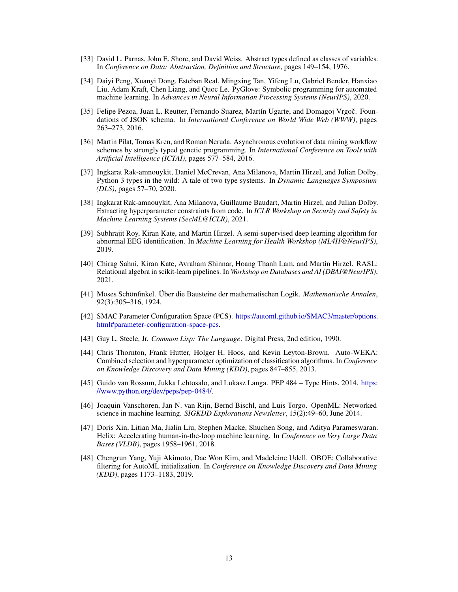- <span id="page-12-3"></span>[33] David L. Parnas, John E. Shore, and David Weiss. Abstract types defined as classes of variables. In *Conference on Data: Abstraction, Definition and Structure*, pages 149–154, 1976.
- <span id="page-12-14"></span>[34] Daiyi Peng, Xuanyi Dong, Esteban Real, Mingxing Tan, Yifeng Lu, Gabriel Bender, Hanxiao Liu, Adam Kraft, Chen Liang, and Quoc Le. PyGlove: Symbolic programming for automated machine learning. In *Advances in Neural Information Processing Systems (NeurIPS)*, 2020.
- <span id="page-12-6"></span>[35] Felipe Pezoa, Juan L. Reutter, Fernando Suarez, Martín Ugarte, and Domagoj Vrgoč. Foundations of JSON schema. In *International Conference on World Wide Web (WWW)*, pages 263–273, 2016.
- <span id="page-12-11"></span>[36] Martin Pilat, Tomas Kren, and Roman Neruda. Asynchronous evolution of data mining workflow schemes by strongly typed genetic programming. In *International Conference on Tools with Artificial Intelligence (ICTAI)*, pages 577–584, 2016.
- <span id="page-12-5"></span>[37] Ingkarat Rak-amnouykit, Daniel McCrevan, Ana Milanova, Martin Hirzel, and Julian Dolby. Python 3 types in the wild: A tale of two type systems. In *Dynamic Languages Symposium (DLS)*, pages 57–70, 2020.
- <span id="page-12-7"></span>[38] Ingkarat Rak-amnouykit, Ana Milanova, Guillaume Baudart, Martin Hirzel, and Julian Dolby. Extracting hyperparameter constraints from code. In *ICLR Workshop on Security and Safety in Machine Learning Systems (SecML@ICLR)*, 2021.
- <span id="page-12-9"></span>[39] Subhrajit Roy, Kiran Kate, and Martin Hirzel. A semi-supervised deep learning algorithm for abnormal EEG identification. In *Machine Learning for Health Workshop (ML4H@NeurIPS)*, 2019.
- <span id="page-12-2"></span>[40] Chirag Sahni, Kiran Kate, Avraham Shinnar, Hoang Thanh Lam, and Martin Hirzel. RASL: Relational algebra in scikit-learn pipelines. In *Workshop on Databases and AI (DBAI@NeurIPS)*, 2021.
- <span id="page-12-0"></span>[41] Moses Schönfinkel. Über die Bausteine der mathematischen Logik. *Mathematische Annalen*, 92(3):305–316, 1924.
- <span id="page-12-8"></span>[42] SMAC Parameter Configuration Space (PCS). [https://automl.github.io/SMAC3/master/options.](https://automl.github.io/SMAC3/master/options.html#parameter-configuration-space-pcs) [html#parameter-configuration-space-pcs.](https://automl.github.io/SMAC3/master/options.html#parameter-configuration-space-pcs)
- <span id="page-12-1"></span>[43] Guy L. Steele, Jr. *Common Lisp: The Language*. Digital Press, 2nd edition, 1990.
- <span id="page-12-12"></span>[44] Chris Thornton, Frank Hutter, Holger H. Hoos, and Kevin Leyton-Brown. Auto-WEKA: Combined selection and hyperparameter optimization of classification algorithms. In *Conference on Knowledge Discovery and Data Mining (KDD)*, pages 847–855, 2013.
- <span id="page-12-4"></span>[45] Guido van Rossum, Jukka Lehtosalo, and Lukasz Langa. PEP 484 – Type Hints, 2014. [https:](https://www.python.org/dev/peps/pep-0484/) [//www.python.org/dev/peps/pep-0484/.](https://www.python.org/dev/peps/pep-0484/)
- <span id="page-12-10"></span>[46] Joaquin Vanschoren, Jan N. van Rijn, Bernd Bischl, and Luis Torgo. OpenML: Networked science in machine learning. *SIGKDD Explorations Newsletter*, 15(2):49–60, June 2014.
- <span id="page-12-15"></span>[47] Doris Xin, Litian Ma, Jialin Liu, Stephen Macke, Shuchen Song, and Aditya Parameswaran. Helix: Accelerating human-in-the-loop machine learning. In *Conference on Very Large Data Bases (VLDB)*, pages 1958–1961, 2018.
- <span id="page-12-13"></span>[48] Chengrun Yang, Yuji Akimoto, Dae Won Kim, and Madeleine Udell. OBOE: Collaborative filtering for AutoML initialization. In *Conference on Knowledge Discovery and Data Mining (KDD)*, pages 1173–1183, 2019.